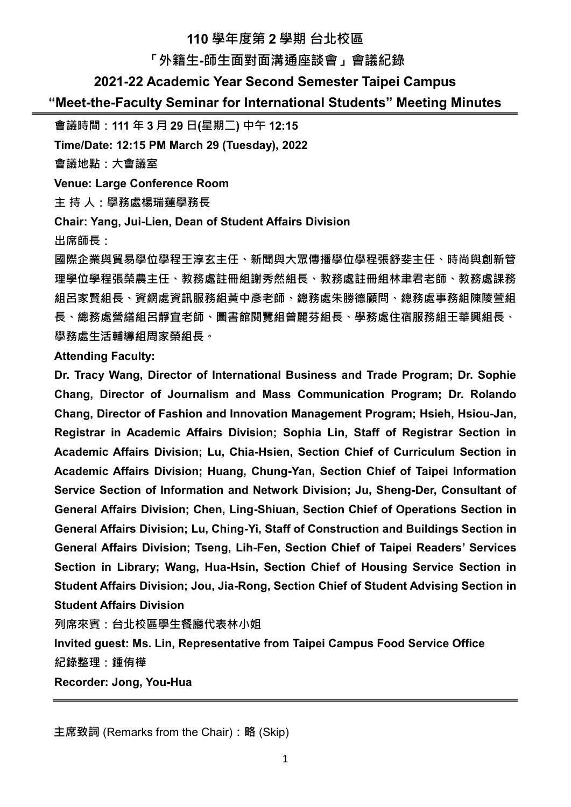# **110 學年度第 2 學期 台北校區**

### **「外籍生-師生面對面溝通座談會」會議紀錄**

### **2021-22 Academic Year Second Semester Taipei Campus**

### **"Meet-the-Faculty Seminar for International Students" Meeting Minutes**

**會議時間:111 年 3 月 29 日(星期二) 中午 12:15**

**Time/Date: 12:15 PM March 29 (Tuesday), 2022**

**會議地點:大會議室**

**Venue: Large Conference Room**

**主 持 人:學務處楊瑞蓮學務長**

**Chair: Yang, Jui-Lien, Dean of Student Affairs Division** 

**出席師長:**

**國際企業與貿易學位學程王淳玄主任、新聞與大眾傳播學位學程張舒斐主任、時尚與創新管 理學位學程張榮農主任、教務處註冊組謝秀然組長、教務處註冊組林聿君老師、教務處課務 組呂家賢組長、資網處資訊服務組黃中彥老師、總務處朱勝德顧問、總務處事務組陳陵萱組 長、總務處營繕組呂靜宜老師、圖書館閱覽組曾麗芬組長、學務處住宿服務組王華興組長、 學務處生活輔導組周家榮組長。**

### **Attending Faculty:**

**Dr. Tracy Wang, Director of International Business and Trade Program; Dr. Sophie Chang, Director of Journalism and Mass Communication Program; Dr. Rolando Chang, Director of Fashion and Innovation Management Program; Hsieh, Hsiou-Jan, Registrar in Academic Affairs Division; Sophia Lin, Staff of Registrar Section in Academic Affairs Division; Lu, Chia-Hsien, Section Chief of Curriculum Section in Academic Affairs Division; Huang, Chung-Yan, Section Chief of Taipei Information Service Section of Information and Network Division; Ju, Sheng-Der, Consultant of General Affairs Division; Chen, Ling-Shiuan, Section Chief of Operations Section in General Affairs Division; Lu, Ching-Yi, Staff of Construction and Buildings Section in General Affairs Division; Tseng, Lih-Fen, Section Chief of Taipei Readers' Services Section in Library; Wang, Hua-Hsin, Section Chief of Housing Service Section in Student Affairs Division; Jou, Jia-Rong, Section Chief of Student Advising Section in Student Affairs Division**

**列席來賓:台北校區學生餐廳代表林小姐**

**Invited guest: Ms. Lin, Representative from Taipei Campus Food Service Office 紀錄整理:鍾侑樺** 

**Recorder: Jong, You-Hua**

**主席致詞** (Remarks from the Chair)**:略** (Skip)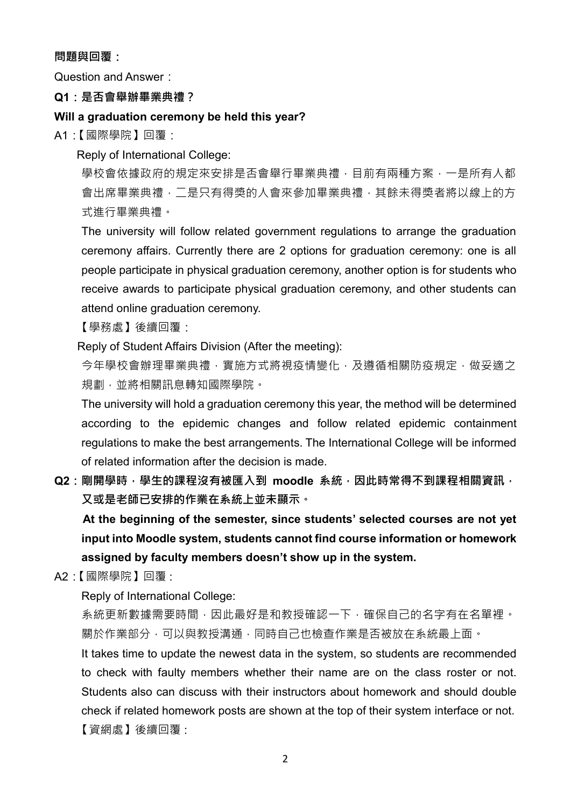### **問題與回覆:**

Question and Answer:

### **Q1:是否會舉辦畢業典禮?**

### **Will a graduation ceremony be held this year?**

A1:【國際學院】回覆:

Reply of International College:

學校會依據政府的規定來安排是否會舉行畢業典禮,目前有兩種方案,一是所有人都 會出席畢業典禮,二是只有得獎的人會來參加畢業典禮,其餘未得獎者將以線上的方 式進行畢業典禮。

The university will follow related government regulations to arrange the graduation ceremony affairs. Currently there are 2 options for graduation ceremony: one is all people participate in physical graduation ceremony, another option is for students who receive awards to participate physical graduation ceremony, and other students can attend online graduation ceremony.

【學務處】後續回覆:

Reply of Student Affairs Division (After the meeting):

今年學校會辦理畢業典禮,實施方式將視疫情變化,及遵循相關防疫規定,做妥適之 規劃,並將相關訊息轉知國際學院。

The university will hold a graduation ceremony this year, the method will be determined according to the epidemic changes and follow related epidemic containment regulations to make the best arrangements. The International College will be informed of related information after the decision is made.

Q2:剛開學時,學生的課程沒有被匯入到 moodle 系統,因此時常得不到課程相關資訊, **又或是老師已安排的作業在系統上並未顯示。**

 **At the beginning of the semester, since students' selected courses are not yet input into Moodle system, students cannot find course information or homework assigned by faculty members doesn't show up in the system.**

A2:【國際學院】回覆 :

Reply of International College:

系統更新數據需要時間,因此最好是和教授確認一下,確保自己的名字有在名單裡。 關於作業部分,可以與教授溝通,同時自己也檢查作業是否被放在系統最上面。

It takes time to update the newest data in the system, so students are recommended to check with faulty members whether their name are on the class roster or not. Students also can discuss with their instructors about homework and should double check if related homework posts are shown at the top of their system interface or not. 【資網處】後續回覆 :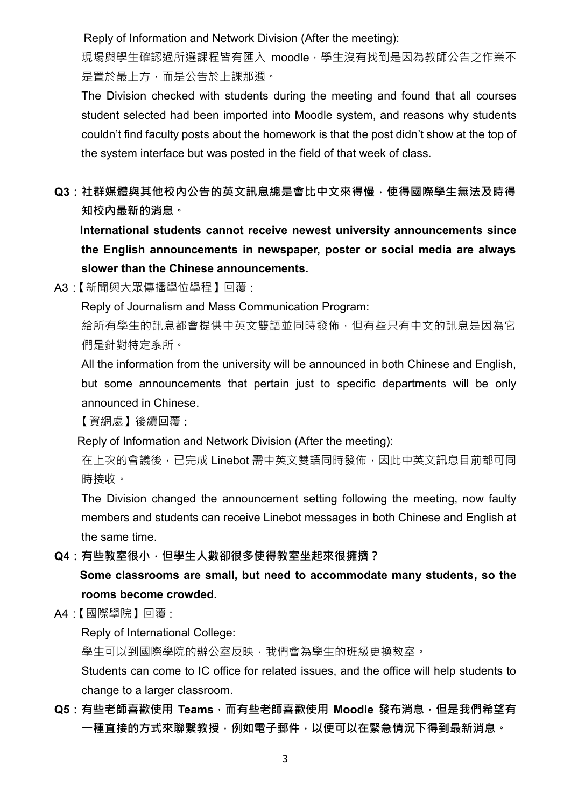Reply of Information and Network Division (After the meeting):

現場與學生確認過所選課程皆有匯入 moodle, 學生沒有找到是因為教師公告之作業不 是置於最上方,而是公告於上課那週。

The Division checked with students during the meeting and found that all courses student selected had been imported into Moodle system, and reasons why students couldn't find faculty posts about the homework is that the post didn't show at the top of the system interface but was posted in the field of that week of class.

**Q3:社群媒體與其他校內公告的英文訊息總是會比中文來得慢,使得國際學生無法及時得 知校內最新的消息。**

 **International students cannot receive newest university announcements since the English announcements in newspaper, poster or social media are always slower than the Chinese announcements.**

A3:【新聞與大眾傳播學位學程】回覆 :

Reply of Journalism and Mass Communication Program:

給所有學生的訊息都會提供中英文雙語並同時發佈,但有些只有中文的訊息是因為它 們是針對特定系所。

All the information from the university will be announced in both Chinese and English, but some announcements that pertain just to specific departments will be only announced in Chinese.

【資網處】後續回覆 :

Reply of Information and Network Division (After the meeting):

在上次的會議後,已完成 Linebot 需中英文雙語同時發佈,因此中英文訊息目前都可同 時接收。

The Division changed the announcement setting following the meeting, now faulty members and students can receive Linebot messages in both Chinese and English at the same time.

**Q4:有些教室很小,但學生人數卻很多使得教室坐起來很擁擠?**

 **Some classrooms are small, but need to accommodate many students, so the rooms become crowded.**

A4:【國際學院】回覆 :

Reply of International College:

學生可以到國際學院的辦公室反映,我們會為學生的班級更換教室。

Students can come to IC office for related issues, and the office will help students to change to a larger classroom.

**Q5:有些老師喜歡使用 Teams,而有些老師喜歡使用 Moodle 發布消息,但是我們希望有 一種直接的方式來聯繫教授,例如電子郵件,以便可以在緊急情況下得到最新消息。**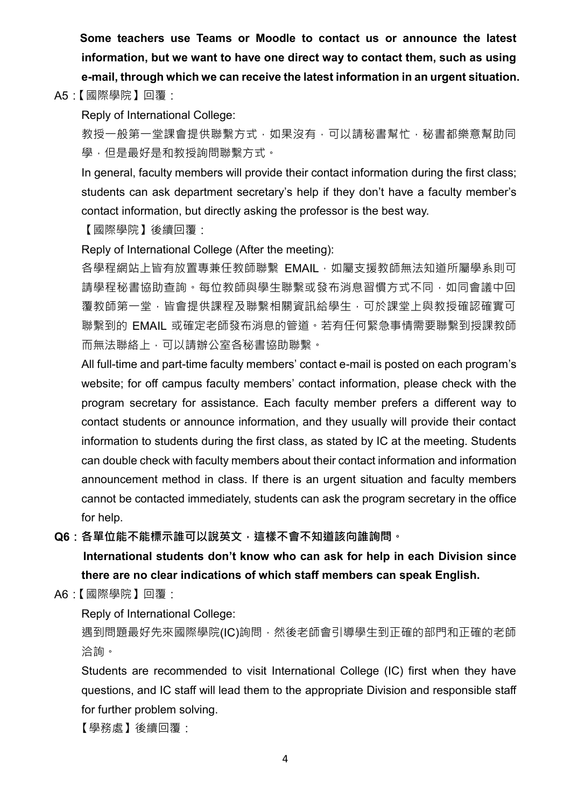**Some teachers use Teams or Moodle to contact us or announce the latest information, but we want to have one direct way to contact them, such as using e-mail, through which we can receive the latest information in an urgent situation.**

A5:【國際學院】回覆:

Reply of International College:

教授一般第一堂課會提供聯繫方式,如果沒有,可以請秘書幫忙,秘書都樂意幫助同 學,但是最好是和教授詢問聯繫方式。

In general, faculty members will provide their contact information during the first class; students can ask department secretary's help if they don't have a faculty member's contact information, but directly asking the professor is the best way.

【國際學院】後續回覆:

Reply of International College (After the meeting):

各學程網站上皆有放置專兼任教師聯繫 EMAIL, 如屬支援教師無法知道所屬學系則可 請學程秘書協助查詢。每位教師與學生聯繫或發布消息習慣方式不同,如同會議中回 覆教師第一堂,皆會提供課程及聯繫相關資訊給學生,可於課堂上與教授確認確實可 聯繫到的 EMAIL 或確定老師發布消息的管道。若有任何緊急事情需要聯繫到授課教師 而無法聯絡上,可以請辦公室各秘書協助聯繫。

All full-time and part-time faculty members' contact e-mail is posted on each program's website; for off campus faculty members' contact information, please check with the program secretary for assistance. Each faculty member prefers a different way to contact students or announce information, and they usually will provide their contact information to students during the first class, as stated by IC at the meeting. Students can double check with faculty members about their contact information and information announcement method in class. If there is an urgent situation and faculty members cannot be contacted immediately, students can ask the program secretary in the office for help.

**Q6:各單位能不能標示誰可以說英文,這樣不會不知道該向誰詢問。**

 **International students don't know who can ask for help in each Division since there are no clear indications of which staff members can speak English.**

A6:【國際學院】回覆:

Reply of International College:

遇到問題最好先來國際學院(IC)詢問,然後老師會引導學生到正確的部門和正確的老師 洽詢。

Students are recommended to visit International College (IC) first when they have questions, and IC staff will lead them to the appropriate Division and responsible staff for further problem solving.

【學務處】後續回覆: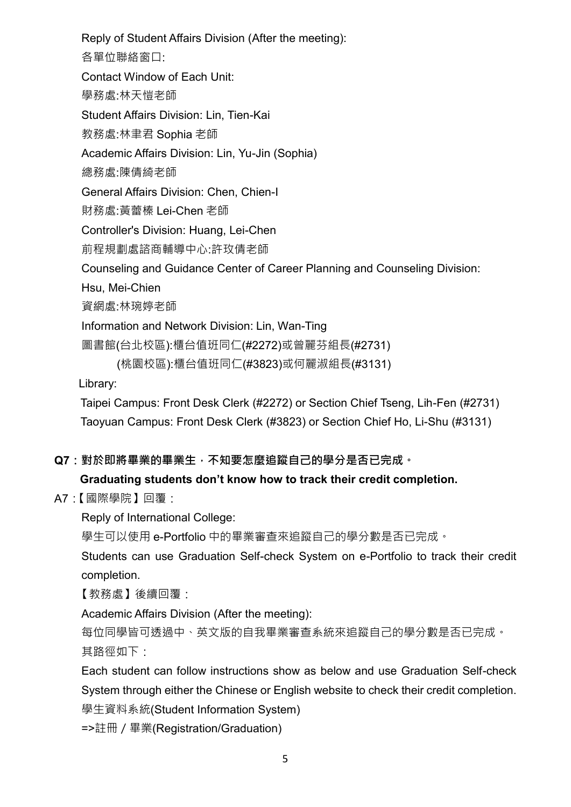Reply of Student Affairs Division (After the meeting): 各單位聯絡窗口: Contact Window of Each Unit: 學務處:林天愷老師 Student Affairs Division: Lin, Tien-Kai 教務處:林聿君 Sophia 老師 Academic Affairs Division: Lin, Yu-Jin (Sophia) 總務處:陳倩綺老師 General Affairs Division: Chen, Chien-I 財務處:黃蕾榛 Lei-Chen 老師 Controller's Division: Huang, Lei-Chen 前程規劃處諮商輔導中心:許玫倩老師 Counseling and Guidance Center of Career Planning and Counseling Division: Hsu, Mei-Chien 資網處:林琬婷老師 Information and Network Division: Lin, Wan-Ting 圖書館(台北校區):櫃台值班同仁(#2272)或曾麗芬組長(#2731) (桃園校區):櫃台值班同仁(#3823)或何麗淑組長(#3131)

Library:

Taipei Campus: Front Desk Clerk (#2272) or Section Chief Tseng, Lih-Fen (#2731) Taoyuan Campus: Front Desk Clerk (#3823) or Section Chief Ho, Li-Shu (#3131)

**Q7:對於即將畢業的畢業生,不知要怎麼追蹤自己的學分是否已完成。**

## **Graduating students don't know how to track their credit completion.**

A7:【國際學院】回覆:

Reply of International College:

學生可以使用 e-Portfolio 中的畢業審查來追蹤自己的學分數是否已完成。

Students can use Graduation Self-check System on e-Portfolio to track their credit completion.

【教務處】後續回覆:

Academic Affairs Division (After the meeting):

每位同學皆可透過中、英文版的自我畢業審查系統來追蹤自己的學分數是否已完成。 其路徑如下:

Each student can follow instructions show as below and use Graduation Self-check System through either the Chinese or English website to check their credit completion. 學生資料系統(Student Information System)

=>註冊/畢業(Registration/Graduation)